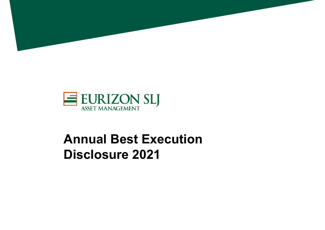



# **Annual Best Execution Disclosure 2021**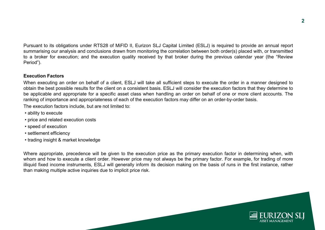Pursuant to its obligations under RTS28 of MiFID II, Eurizon SLJ Capital Limited (ESLJ) is required to provide an annual report summarising our analysis and conclusions drawn from monitoring the correlation between both order(s) placed with, or transmitted to <sup>a</sup> broker for execution; and the execution quality received by that broker during the previous calendar year (the "Review Period").

# **Execution Factors**

When executing an order on behalf of <sup>a</sup> client, ESLJ will take all sufficient steps to execute the order in <sup>a</sup> manner designed to obtain the best possible results for the client on <sup>a</sup> consistent basis. ESLJ will consider the execution factors that they determine to be applicable and appropriate for <sup>a</sup> specific asset class when handling an order on behalf of one or more client accounts. The ranking of importance and appropriateness of each of the execution factors may differ on an order-by-order basis.

The execution factors include, but are not limited to:

- ability to execute
- price and related execution costs
- speed of execution
- settlement efficiency
- trading insight & market knowledge

Where appropriate, precedence will be given to the execution price as the primary execution factor in determining when, with whom and how to execute <sup>a</sup> client order. However price may not always be the primary factor. For example, for trading of more illiquid fixed income instruments, ESLJ will generally inform its decision making on the basis of runs in the first instance, rather than making multiple active inquiries due to implicit price risk.

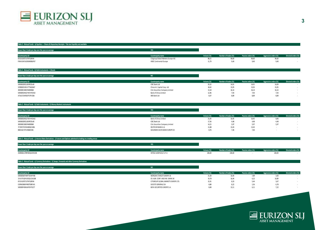

## **Table 3 ‐ Mutual Funds ‐ a) Equities — Shares & Depositary Receipts ‐ Tisk size liquidity not available**

| Fewer than 1 trade per day over the year on average | <b>YES</b>                         |            |                      |                    |                       |                     |
|-----------------------------------------------------|------------------------------------|------------|----------------------|--------------------|-----------------------|---------------------|
|                                                     |                                    |            |                      |                    |                       |                     |
| <b>Counterparty LEI</b>                             | Counterparty name                  | Volume (%) | Number of trades (%) | Passive orders (%) | Aggressive orders (%) | Directed orders (%) |
| 6TJCK1B7E7UTXP528Y04                                | Citigroup Global Markets Europe AG | 88,21      | 90,60                | 90,60              | 90,60                 |                     |
| F0HUI1NY1AZMJMD8LP67                                | <b>HSBC Continental Europe</b>     | 11,79      |                      | 9.40               |                       |                     |
|                                                     |                                    |            |                      |                    |                       |                     |

#### **Table 3 ‐ Mutual funds ‐ b) Debt instruments ‐ i) Bonds**

| Fewer than 1 trade per day over the year on average | <b>NO</b>                        |            |                      |                    |                       |                     |
|-----------------------------------------------------|----------------------------------|------------|----------------------|--------------------|-----------------------|---------------------|
| <b>Counterparty LEI</b>                             | Counterparty name                | Volume (%) | Number of trades (%) | Passive orders (%) | Aggressive orders (%) | Directed orders (%) |
| 5493002ERZU2K9PZDL40                                | ICBC Bank Ltd                    | 20,32      | 14,91                | 14,91              | 14,09                 |                     |
| 529900OS3SVVTT56QN67                                | China Int. Capital Corp. Ltd     | 18,42      | 15,05                | 15,05              | 15,05                 |                     |
| 300300E1006744000068                                | Citic Securities Company Limited | 13,18      | 16,14                | 16,14              | 16,14                 |                     |
| 54930053HGCFWVHYZX42                                | Bank of China Limited            | 12,96      | 7,93                 | 7,93               | 7,93                  |                     |
| ATUEL7OJR5057F2PV266                                | DBS Bank Ltd                     | 8.47       | 8,89                 | 8,89               | 8,89                  |                     |

#### **Table 3 ‐ Mutual funds ‐ b) Debt instruments ‐ ii) Money Markets instruments**

| Fewer than 1 trade per day over the year on average | <b>YES</b>                       |                  |                      |                    |                       |                     |
|-----------------------------------------------------|----------------------------------|------------------|----------------------|--------------------|-----------------------|---------------------|
| <b>Counterparty LEI</b>                             | Counterparty name                | Volume (%)       | Number of trades (%) | Passive orders (%) | Aggressive orders (%) | Directed orders (%) |
| 54930053HGCFWVHYZX42                                | Bank of China Limited            | 21,05            | 10,45                | 10,45              | 8,96                  |                     |
| 5493002ERZU2K9PZDL40                                | ICBC Bank Ltd                    | 17,56            | 4.48                 | 4,48               | 4.48                  |                     |
| 300300E1006744000068                                | Citic Securities Company Limited | 14,15            | 5,97                 | 5,97               | 5,97                  |                     |
| 7LTWFZYICNSX8D621K86                                | DEUTSCHE BANK A.G.               | 11,88            | 13,43                | 13,43              |                       |                     |
| 8IBZUGJ7JPLH368JE346                                | GOLDMAN SACHS BANK EUROPE SE     | 8.7 <sub>b</sub> |                      | 7,46               |                       |                     |

#### **Table 3 ‐ Mutual funds ‐ c) Interest Rates Derivatives ‐ i) Futures and Options admitted to trading on a trading venue**

| Fewer than 1 trade per day over the year on average | YES.                  |            |                      |                    |                       |                     |
|-----------------------------------------------------|-----------------------|------------|----------------------|--------------------|-----------------------|---------------------|
| <b>Counterparty LEI</b>                             | Counterparty name     | Volume (%) | Number of trades (%) | Passive orders (%) | Aggressive orders (%) | Directed orders (%) |
| 2W8N8UU78PMDQKZENC08                                | INTESA SANPAOLO S.P.A | 100,00     | 100,00               |                    | 100,00                |                     |

#### **Table 3 ‐ Mutual funds ‐ e) Currency Derivatives ‐ ii) Swaps, Forwards and other Currency Derivatives**

**Fewer than 1 trade per day over the year on average NO**

| <b>Counterparty LEI</b> | Counterparty name                    | Volume (%)     | Number of trades (%) | Passive orders (%) | Aggressive orders (%) | Directed orders (%) |
|-------------------------|--------------------------------------|----------------|----------------------|--------------------|-----------------------|---------------------|
| 54930056FHWP7GIWYY08    | MORGAN STANLEY EUROPE SE             | 31,58          | 10,44                | 7,89               | 3,00                  |                     |
| 1VUV7VQFKUOQSJ21A208    | CR. AGR. CORP. AND INV. BANK UK      | 19,78          | 16,44                | 6,22               | 10,89                 |                     |
| 6TJCK1B7E7UTXP528Y04    | CITIGROUP GLOBAL MARKETS EUROPE LTD. | $-$<br>د د رند | 8,55                 | 5,44               | 3,67                  |                     |
| O2RNE8IBXP4R0TD8PU41    | SOCIETE GENERALE SA                  | 8.88           | 8,22                 | 1.56               | b.78                  |                     |
| 549300FH0WJAPEHTIQ77    | BOFA SECURITIES EUROPE S.A.          | 8.46           | $\sim$<br>15,11      | 6.11               |                       |                     |

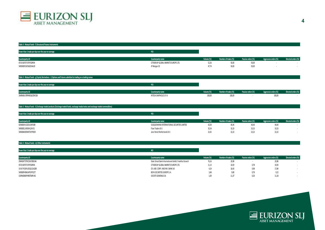

# **Table 3 ‐ Mutual funds ‐ f) Structured finance instruments**

| Fewer than 1 trade per day over the year on average | <b>YES</b>                           |            |                      |                    |                       |                     |
|-----------------------------------------------------|--------------------------------------|------------|----------------------|--------------------|-----------------------|---------------------|
| <b>Counterparty LEI</b>                             | Counterparty name                    | Volume (%) | Number of trades (%) | Passive orders (%) | Aggressive orders (%) | Directed orders (%) |
| 6TJCK1B7E7UTXP528Y04                                | CITIGROUP GLOBAL MARKETS EUROPE LTD. | 52,26      | 50,00                | 50,00              |                       |                     |
| 549300ZK53CNGEEI6A29                                | JP Morgan SE                         | 47.74      | 50,00                | 50,00              |                       |                     |
|                                                     |                                      |            |                      |                    |                       |                     |

| Table 3 - Mutual funds - g) Equity Derivatives - i) Options and Futures admitted to trading on a trading venue |  |
|----------------------------------------------------------------------------------------------------------------|--|
|                                                                                                                |  |

| Fewer than 1 trade per day over the year on average |                       |            |                      |                    |                       |                     |
|-----------------------------------------------------|-----------------------|------------|----------------------|--------------------|-----------------------|---------------------|
|                                                     |                       |            |                      |                    |                       |                     |
| <b>Counterparty LEI</b>                             | Counterparty name     | Volume (%) | Number of trades (%) | Passive orders (%) | Aggressive orders (%) | Directed orders (%) |
| 2W8N8UU78PMDQKZENC08                                | INTESA SANPAOLO S.P.A | 100,00     | 100,00               |                    | 100,0                 |                     |

| Fewer than 1 trade per day over the year on average | <b>YES</b>                                   |                  |                      |                    |                       |                     |
|-----------------------------------------------------|----------------------------------------------|------------------|----------------------|--------------------|-----------------------|---------------------|
| <b>Counterparty LEI</b>                             | Counterparty name                            | Volume (%)       | Number of trades (%) | Passive orders (%) | Aggressive orders (%) | Directed orders (%) |
| 635400IAV22ZOU1NFS89                                | SUSQUEHANNA INTERNATIONAL SECURITIES LIMITED |                  | 44.44                | 44,44              | 44,44                 |                     |
| 549300CLJI9XDH12XV51                                | Flow Traders B.V.                            | $- - -$<br>יל,ל5 | 33,33                | 33,33              | 33,33                 |                     |
| 549300AE0DWETJDYFB29                                | Jane Street Netherlands B.V.                 | 22,42            | 22,22                | 22,22              | 22,22                 |                     |

# **Table 3 ‐ Mutual funds ‐ m) Other instruments**

| Fewer than 1 trade per day over the year on average |                                                        |            |                      |                    |                       |                     |
|-----------------------------------------------------|--------------------------------------------------------|------------|----------------------|--------------------|-----------------------|---------------------|
| <b>Counterparty LEI</b>                             | Counterparty name                                      | Volume (%) | Number of trades (%) | Passive orders (%) | Aggressive orders (%) | Directed orders (%) |
| ZMHGNT7ZPKZ3UFZ8EO46                                | State Street Bank International GmbH, Frankfurt branch | 76,16      | 20,98                |                    | 20,98                 |                     |
| 6TJCK1B7E7UTXP528Y04                                | CITIGROUP GLOBAL MARKETS EUROPE LTD.                   | 11,13      | 10,59                | 0,78               | 10,59                 |                     |
| 1VUV7VQFKUOQSJ21A208                                | CR. AGR. CORP. AND INV. BANK UK                        |            | 18,43                | 0,98               | 17,84                 |                     |
| 549300FH0WJAPEHTIQ77                                | BOFA SECURITIES EUROPE S.A.                            | 3.48       | 9,8U                 | 0.78               | <b>u</b> 77<br>J,LL   |                     |
| O2RNE8IBXP4R0TD8PU41                                | SOCIETE GENERALE SA                                    | 1,69       | 11,37                | 0,20               | 11,18                 |                     |

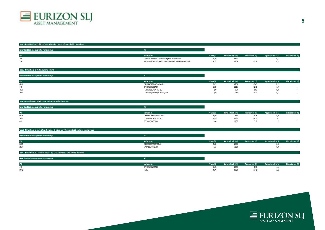

## **Table 3 ‐ Mutual Funds ‐ a) Equities — Shares & Depositary Receipts ‐ Tisk size liquidity not available**

| Fewer than 1 trade per day over the year on average |                                                          |            |                      |                    |                       |                     |
|-----------------------------------------------------|----------------------------------------------------------|------------|----------------------|--------------------|-----------------------|---------------------|
|                                                     |                                                          |            |                      |                    |                       |                     |
| <b>MALC</b><br><b>IVIIL</b>                         | Market name                                              | Volume (%) | Number of trades (%) | Passive orders (%) | Aggressive orders (%) | Directed orders (%) |
| XSEC                                                | Shenzhen Stock Exch - Shenzen-Hong Kong Stock Connect    | 58,29      | 56,41                |                    | 56,41                 |                     |
| XSSC                                                | SHANGHAI STOCK EXCHANGE- SHANGHAI-HONGKONG STOCK CONNECT |            | 43,59                | 43.55              | 43.59                 |                     |
|                                                     |                                                          |            |                      |                    |                       |                     |

#### **Table 3 ‐ Mutual funds ‐ b) Debt instruments ‐ i) Bonds**

| Fewer than 1 trade per day over the year on average |                                     |            |                      |                    |                       |                     |
|-----------------------------------------------------|-------------------------------------|------------|----------------------|--------------------|-----------------------|---------------------|
| <b>MIC</b>                                          | Market name                         | Volume (%) | Number of trades (%) | Passive orders (%) | Aggressive orders (%) | Directed orders (%) |
| CIBM                                                | CHINA INTERBANK Bond Market         | 86,24      | 67,03                | 67,03              | 67,03                 |                     |
| OTC                                                 | OTC BULLETIN BOARD                  | 10,26      | 22,16                | 22,16              |                       |                     |
| TREU                                                | TRADEWEB EUROPE LIMITED             | 2,90       | 9,99                 | 9,99               | 9,58                  |                     |
| XCFE                                                | China Foreign Exchange Trade System | 0,60       | 0,82                 | U.OZ               | U,82                  |                     |

#### **Table 3 ‐ Mutual funds ‐ b) Debt instruments ‐ ii) Money Markets instruments**

#### **Fewer than 1 trade per day over the year on average YES MIC Market name Volume (%) Number of trades (%) Passive orders (%) Aggressive orders (%) Directed orders (%)** CIBM CHINA INTERBANK Bond Market 66,40 28,36 28,36 28,36 ‐ TREUU and the set of the set of the set of the set of the set of the set of the set of the set of the set of the set of the set of the set of the set of the set of the set of the set of the set of the set of the set of the set OTC OTC BULLETIN BOARD $25,37$   $25,37$   $5,97$   $5,97$   $5,97$   $5,97$   $5,97$   $5,97$   $5,97$   $5,97$   $5,97$   $5,97$   $5,97$   $5,97$   $5,97$   $5,97$   $5,97$   $5,97$   $5,97$   $5,97$   $5,97$   $5,97$   $5,97$   $5,97$   $5,97$   $5,97$   $5,97$   $5,97$   $5,97$   $5,97$   $5,97$   $5$

## **Table 3 ‐ Mutual funds ‐ c) Interest Rates Derivatives ‐ i) Futures and Options admitted to trading on a trading venue**

| Fewer than 1 trade per day over the year on average | <b>YES</b>             |            |                      |                    |                       |                     |
|-----------------------------------------------------|------------------------|------------|----------------------|--------------------|-----------------------|---------------------|
| <b>MIC</b>                                          | Market name            | Volume (%) | Number of trades (%) | Passive orders (%) | Aggressive orders (%) | Directed orders (%) |
| XCBT                                                | CHICAGO BOARD OF TRADE | 93,34      | 28,00                |                    | 28,00                 |                     |
| XEUR                                                | EUREX DEUTSCHLAND      | 6,66       | 72.00<br>72,00       |                    | 72,00                 |                     |
|                                                     |                        |            |                      |                    |                       |                     |

#### **Table 3 ‐ Mutual funds ‐ e) Currency Derivatives ‐ ii) Swaps, Forwards and other Currency Derivatives**

| Fewer than 1 trade per day over the year on average |                    |           |                      |                    |                       |                     |
|-----------------------------------------------------|--------------------|-----------|----------------------|--------------------|-----------------------|---------------------|
| <b>MIC</b>                                          | Market name        | olume (%) | Number of trades (%) | Passive orders (%) | kggressive orders (%) | Directed orders (%) |
| OTC                                                 | OTC BULLETIN BOARD |           | 55,28<br>ZU,UU       | 18,56              |                       |                     |
| <b>FXRQ</b>                                         | FXALL              |           | 44.72<br>80,00       | 27.70<br>21.18     | 52,22                 |                     |